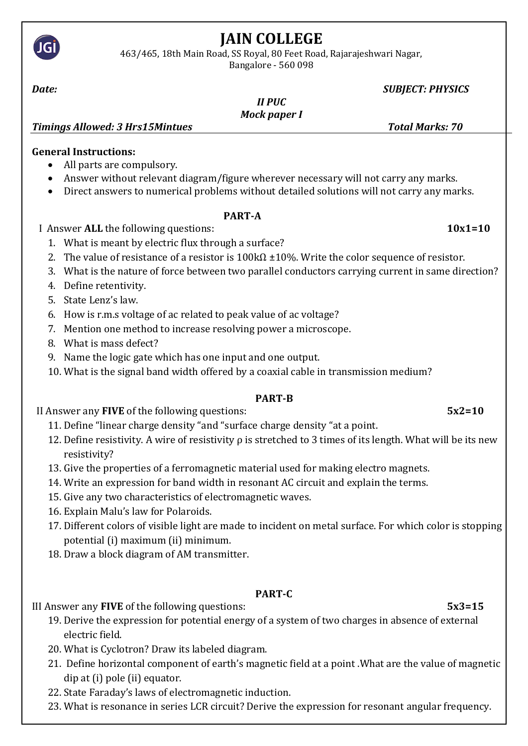

# **JAIN COLLEGE**

463/465, 18th Main Road, SS Royal, 80 Feet Road, Rajarajeshwari Nagar, Bangalore - 560 098

#### *Date: SUBJECT: PHYSICS*

*II PUC Mock paper I*

*Timings Allowed: 3 Hrs15Mintues Total Marks: 70*

## **General Instructions:**

- All parts are compulsory.
- Answer without relevant diagram/figure wherever necessary will not carry any marks.
- Direct answers to numerical problems without detailed solutions will not carry any marks.

#### **PART-A**

I Answer **ALL** the following questions: **10x1=10**

- 1. What is meant by electric flux through a surface?
- 2. The value of resistance of a resistor is  $100k\Omega \pm 10\%$ . Write the color sequence of resistor.
- 3. What is the nature of force between two parallel conductors carrying current in same direction?
- 4. Define retentivity.
- 5. State Lenz's law.
- 6. How is r.m.s voltage of ac related to peak value of ac voltage?
- 7. Mention one method to increase resolving power a microscope.
- 8. What is mass defect?
- 9. Name the logic gate which has one input and one output.
- 10. What is the signal band width offered by a coaxial cable in transmission medium?

# **PART-B**

II Answer any **FIVE** of the following questions: **5x2=10**

- 11. Define "linear charge density "and "surface charge density "at a point.
- 12. Define resistivity. A wire of resistivity  $\rho$  is stretched to 3 times of its length. What will be its new resistivity?
- 13. Give the properties of a ferromagnetic material used for making electro magnets.
- 14. Write an expression for band width in resonant AC circuit and explain the terms.
- 15. Give any two characteristics of electromagnetic waves.
- 16. Explain Malu's law for Polaroids.
- 17. Different colors of visible light are made to incident on metal surface. For which color is stopping potential (i) maximum (ii) minimum.
- 18. Draw a block diagram of AM transmitter.

# **PART-C**

III Answer any **FIVE** of the following questions: **5x3=15**

- 19. Derive the expression for potential energy of a system of two charges in absence of external electric field.
- 20. What is Cyclotron? Draw its labeled diagram.
- 21. Define horizontal component of earth's magnetic field at a point .What are the value of magnetic dip at (i) pole (ii) equator.
- 22. State Faraday's laws of electromagnetic induction.
- 23. What is resonance in series LCR circuit? Derive the expression for resonant angular frequency.